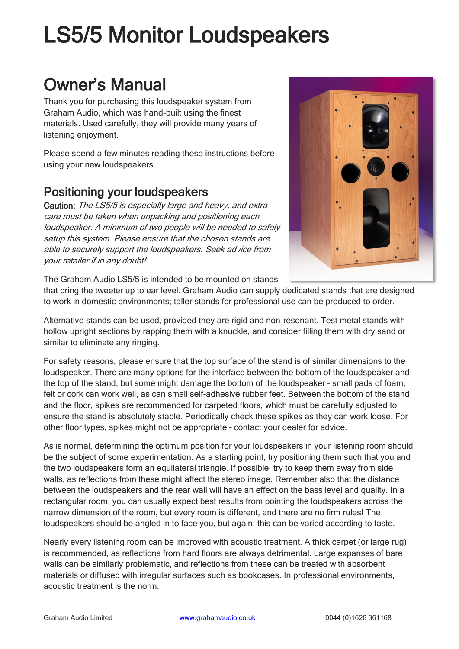# LS5/5 Monitor Loudspeakers

# Owner's Manual

Thank you for purchasing this loudspeaker system from Graham Audio, which was hand-built using the finest materials. Used carefully, they will provide many years of listening enjoyment.

Please spend a few minutes reading these instructions before using your new loudspeakers.

## Positioning your loudspeakers

Caution: The LS5/5 is especially large and heavy, and extra care must be taken when unpacking and positioning each loudspeaker. A minimum of two people will be needed to safely setup this system. Please ensure that the chosen stands are able to securely support the loudspeakers. Seek advice from your retailer if in any doubt!



The Graham Audio LS5/5 is intended to be mounted on stands

that bring the tweeter up to ear level. Graham Audio can supply dedicated stands that are designed to work in domestic environments; taller stands for professional use can be produced to order.

Alternative stands can be used, provided they are rigid and non-resonant. Test metal stands with hollow upright sections by rapping them with a knuckle, and consider filling them with dry sand or similar to eliminate any ringing.

For safety reasons, please ensure that the top surface of the stand is of similar dimensions to the loudspeaker. There are many options for the interface between the bottom of the loudspeaker and the top of the stand, but some might damage the bottom of the loudspeaker – small pads of foam, felt or cork can work well, as can small self-adhesive rubber feet. Between the bottom of the stand and the floor, spikes are recommended for carpeted floors, which must be carefully adjusted to ensure the stand is absolutely stable. Periodically check these spikes as they can work loose. For other floor types, spikes might not be appropriate – contact your dealer for advice.

As is normal, determining the optimum position for your loudspeakers in your listening room should be the subject of some experimentation. As a starting point, try positioning them such that you and the two loudspeakers form an equilateral triangle. If possible, try to keep them away from side walls, as reflections from these might affect the stereo image. Remember also that the distance between the loudspeakers and the rear wall will have an effect on the bass level and quality. In a rectangular room, you can usually expect best results from pointing the loudspeakers across the narrow dimension of the room, but every room is different, and there are no firm rules! The loudspeakers should be angled in to face you, but again, this can be varied according to taste.

Nearly every listening room can be improved with acoustic treatment. A thick carpet (or large rug) is recommended, as reflections from hard floors are always detrimental. Large expanses of bare walls can be similarly problematic, and reflections from these can be treated with absorbent materials or diffused with irregular surfaces such as bookcases. In professional environments, acoustic treatment is the norm.